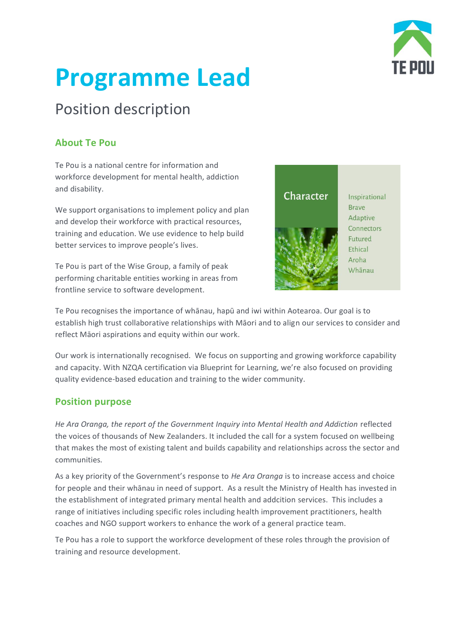

# **Programme Lead**

# Position description

# **About Te Pou**

Te Pou is a national centre for information and workforce development for mental health, addiction and disability.

We support organisations to implement policy and plan and develop their workforce with practical resources, training and education. We use evidence to help build better services to improve people's lives.

Te Pou is part of the Wise Group, a family of peak performing charitable entities working in areas from frontline service to software development.



Te Pou recognises the importance of whānau, hapū and iwi within Aotearoa. Our goal is to establish high trust collaborative relationships with Māori and to align our services to consider and reflect Māori aspirations and equity within our work.

Our work is internationally recognised. We focus on supporting and growing workforce capability and capacity. With NZQA certification via Blueprint for Learning, we're also focused on providing quality evidence-based education and training to the wider community.

### **Position purpose**

*He Ara Oranga, the report of the Government Inquiry into Mental Health and Addiction* reflected the voices of thousands of New Zealanders. It included the call for a system focused on wellbeing that makes the most of existing talent and builds capability and relationships across the sector and communities*.* 

As a key priority of the Government's response to *He Ara Oranga* is to increase access and choice for people and their whānau in need of support. As a result the Ministry of Health has invested in the establishment of integrated primary mental health and addcition services. This includes a range of initiatives including specific roles including health improvement practitioners, health coaches and NGO support workers to enhance the work of a general practice team.

Te Pou has a role to support the workforce development of these roles through the provision of training and resource development.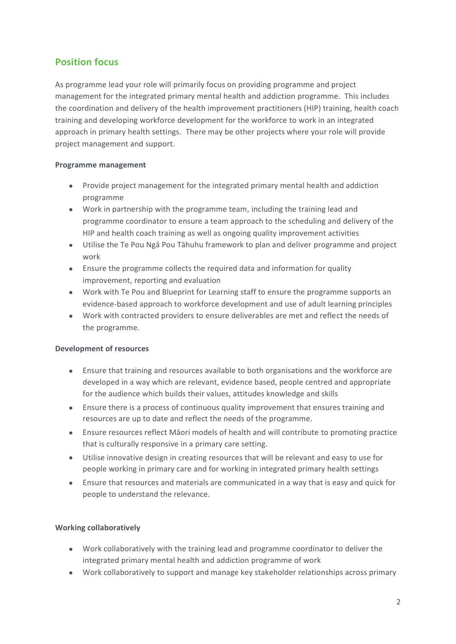## **Position focus**

As programme lead your role will primarily focus on providing programme and project management for the integrated primary mental health and addiction programme. This includes the coordination and delivery of the health improvement practitioners (HIP) training, health coach training and developing workforce development for the workforce to work in an integrated approach in primary health settings. There may be other projects where your role will provide project management and support.

#### **Programme management**

- Provide project management for the integrated primary mental health and addiction programme
- Work in partnership with the programme team, including the training lead and programme coordinator to ensure a team approach to the scheduling and delivery of the HIP and health coach training as well as ongoing quality improvement activities
- Utilise the Te Pou Ngā Pou Tāhuhu framework to plan and deliver programme and project work
- Ensure the programme collects the required data and information for quality improvement, reporting and evaluation
- Work with Te Pou and Blueprint for Learning staff to ensure the programme supports an evidence-based approach to workforce development and use of adult learning principles
- Work with contracted providers to ensure deliverables are met and reflect the needs of the programme.

#### **Development of resources**

- Ensure that training and resources available to both organisations and the workforce are developed in a way which are relevant, evidence based, people centred and appropriate for the audience which builds their values, attitudes knowledge and skills
- Ensure there is a process of continuous quality improvement that ensures training and resources are up to date and reflect the needs of the programme.
- Ensure resources reflect Māori models of health and will contribute to promoting practice that is culturally responsive in a primary care setting.
- Utilise innovative design in creating resources that will be relevant and easy to use for people working in primary care and for working in integrated primary health settings
- Ensure that resources and materials are communicated in a way that is easy and quick for people to understand the relevance.

#### **Working collaboratively**

- Work collaboratively with the training lead and programme coordinator to deliver the integrated primary mental health and addiction programme of work
- Work collaboratively to support and manage key stakeholder relationships across primary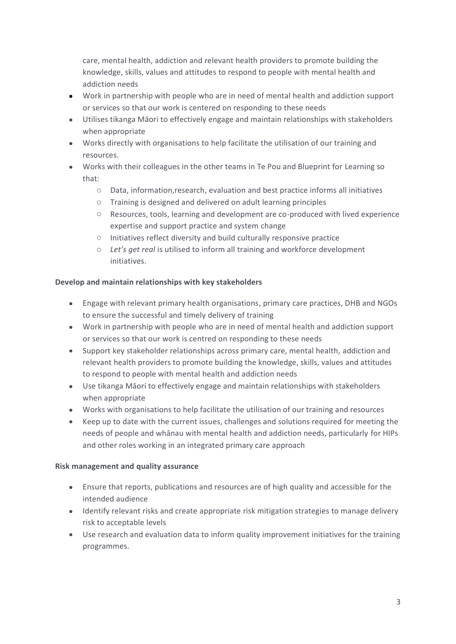care, mental health, addiction and relevant health providers to promote building the knowledge, skills, values and attitudes to respond to people with mental health and addiction needs

- Work in partnership with people who are in need of mental health and addiction support or services so that our work is centered on responding to these needs
- Utilises tikanga Māori to effectively engage and maintain relationships with stakeholders when appropriate
- Works directly with organisations to help facilitate the utilisation of our training and resources.
- Works with their colleagues in the other teams in Te Pou and Blueprint for Learning so that:
	- o Data, information,research, evaluation and best practice informs all initiatives
	- o Training is designed and delivered on adult learning principles
	- o Resources, tools, learning and development are co-produced with lived experience expertise and support practice and system change
	- o Initiatives reflect diversity and build culturally responsive practice
	- o *Let's get real* is utilised to inform all training and workforce development initiatives.

#### **Develop and maintain relationships with key stakeholders**

- Engage with relevant primary health organisations, primary care practices, DHB and NGOs to ensure the successful and timely delivery of training
- Work in partnership with people who are in need of mental health and addiction support or services so that our work is centred on responding to these needs
- Support key stakeholder relationships across primary care, mental health, addiction and relevant health providers to promote building the knowledge, skills, values and attitudes to respond to people with mental health and addiction needs
- Use tikanga Māori to effectively engage and maintain relationships with stakeholders when appropriate
- Works with organisations to help facilitate the utilisation of our training and resources
- Keep up to date with the current issues, challenges and solutions required for meeting the needs of people and whānau with mental health and addiction needs, particularly for HIPs and other roles working in an integrated primary care approach

#### **Risk management and quality assurance**

- Ensure that reports, publications and resources are of high quality and accessible for the intended audience
- Identify relevant risks and create appropriate risk mitigation strategies to manage delivery risk to acceptable levels
- Use research and evaluation data to inform quality improvement initiatives for the training programmes.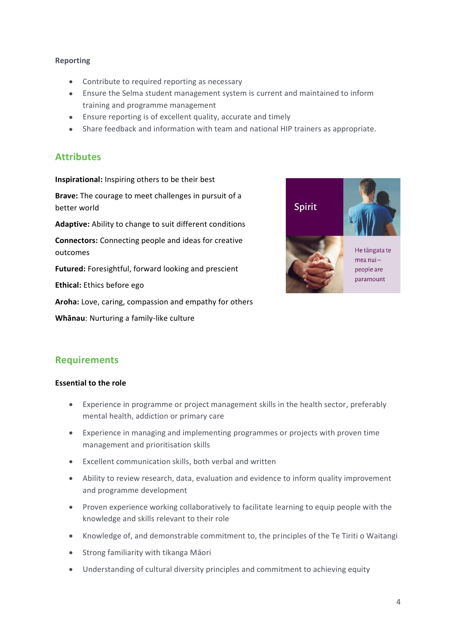#### **Reporting**

- Contribute to required reporting as necessary
- Ensure the Selma student management system is current and maintained to inform training and programme management
- Ensure reporting is of excellent quality, accurate and timely
- Share feedback and information with team and national HIP trainers as appropriate.

#### **Attributes**

**Inspirational:** Inspiring others to be their best

**Brave:** The courage to meet challenges in pursuit of a better world

**Adaptive:** Ability to change to suit different conditions

**Connectors:** Connecting people and ideas for creative outcomes

**Futured:** Foresightful, forward looking and prescient

**Ethical:** Ethics before ego

**Aroha:** Love, caring, compassion and empathy for others

**Whānau**: Nurturing a family-like culture



#### **Requirements**

#### **Essential to the role**

- Experience in programme or project management skills in the health sector, preferably mental health, addiction or primary care
- Experience in managing and implementing programmes or projects with proven time management and prioritisation skills
- Excellent communication skills, both verbal and written
- Ability to review research, data, evaluation and evidence to inform quality improvement and programme development
- Proven experience working collaboratively to facilitate learning to equip people with the knowledge and skills relevant to their role
- Knowledge of, and demonstrable commitment to, the principles of the Te Tiriti o Waitangi
- Strong familiarity with tikanga Māori
- Understanding of cultural diversity principles and commitment to achieving equity